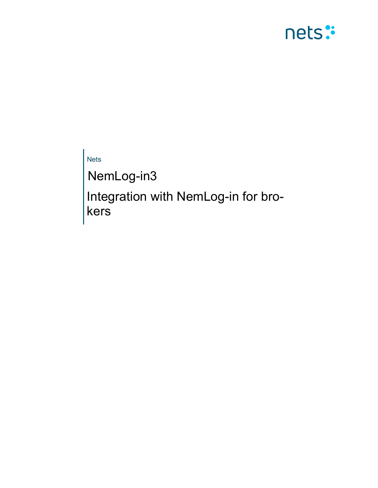

Nets

NemLog-in3

Integration with NemLog-in for brokers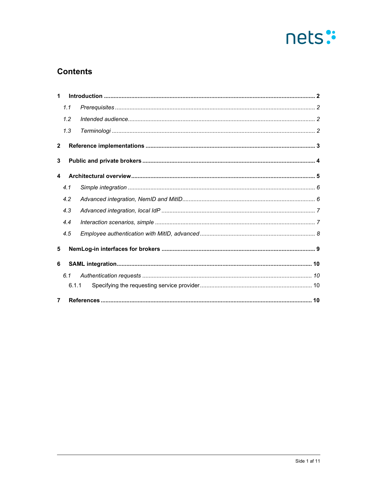

# **Contents**

| 1              |       |  |
|----------------|-------|--|
|                | 1.1   |  |
|                | 1.2   |  |
|                | 1.3   |  |
| $\overline{2}$ |       |  |
| 3              |       |  |
| 4              |       |  |
|                | 4.1   |  |
|                | 4.2   |  |
|                | 4.3   |  |
|                | 4.4   |  |
|                | 4.5   |  |
| 5              |       |  |
| 6              |       |  |
|                | 6.1   |  |
|                | 6.1.1 |  |
| $\overline{7}$ |       |  |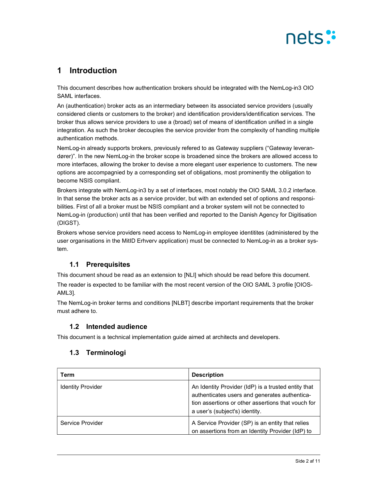

## 1 Introduction

This document describes how authentication brokers should be integrated with the NemLog-in3 OIO SAML interfaces.

An (authentication) broker acts as an intermediary between its associated service providers (usually considered clients or customers to the broker) and identification providers/identification services. The broker thus allows service providers to use a (broad) set of means of identification unified in a single integration. As such the broker decouples the service provider from the complexity of handling multiple authentication methods.

NemLog-in already supports brokers, previously refered to as Gateway suppliers ("Gateway leverandører)". In the new NemLog-in the broker scope is broadened since the brokers are allowed access to more interfaces, allowing the broker to devise a more elegant user experience to customers. The new options are accompagnied by a corresponding set of obligations, most prominently the obligation to become NSIS compliant.

Brokers integrate with NemLog-in3 by a set of interfaces, most notably the OIO SAML 3.0.2 interface. In that sense the broker acts as a service provider, but with an extended set of options and responsibilities. First of all a broker must be NSIS compliant and a broker system will not be connected to NemLog-in (production) until that has been verified and reported to the Danish Agency for Digitisation (DIGST).

Brokers whose service providers need access to NemLog-in employee identitites (administered by the user organisations in the MitID Erhverv application) must be connected to NemLog-in as a broker system.

## 1.1 Prerequisites

This document shoud be read as an extension to [NLI] which should be read before this document. The reader is expected to be familiar with the most recent version of the OIO SAML 3 profile [OIOS-AML3].

The NemLog-in broker terms and conditions [NLBT] describe important requirements that the broker must adhere to.

### 1.2 Intended audience

This document is a technical implementation guide aimed at architects and developers.

## 1.3 Terminologi

| Term                     | <b>Description</b>                                                                                                                                                                           |
|--------------------------|----------------------------------------------------------------------------------------------------------------------------------------------------------------------------------------------|
| <b>Identity Provider</b> | An Identity Provider (IdP) is a trusted entity that<br>authenticates users and generates authentica-<br>tion assertions or other assertions that youch for<br>a user's (subject's) identity. |
| Service Provider         | A Service Provider (SP) is an entity that relies<br>on assertions from an Identity Provider (IdP) to                                                                                         |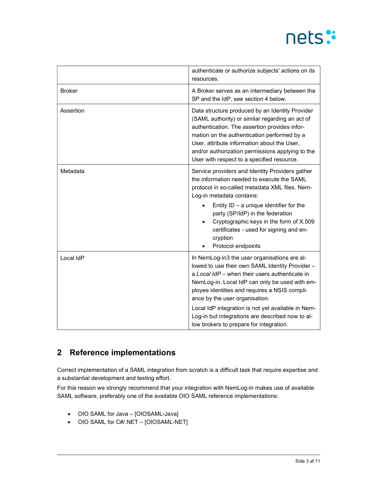# nets:

|               | authenticate or authorize subjects' actions on its<br>resources.                                                                                                                                                                                                                                                                                                                                                                            |
|---------------|---------------------------------------------------------------------------------------------------------------------------------------------------------------------------------------------------------------------------------------------------------------------------------------------------------------------------------------------------------------------------------------------------------------------------------------------|
| <b>Broker</b> | A Broker serves as an intermediary between the<br>SP and the IdP, see section 4 below.                                                                                                                                                                                                                                                                                                                                                      |
| Assertion     | Data structure produced by an Identity Provider<br>(SAML authority) or similar regarding an act of<br>authentication. The assertion provides infor-<br>mation on the authentication performed by a<br>User, attribute information about the User,<br>and/or authorization permissions applying to the<br>User with respect to a specified resource.                                                                                         |
| Metadata      | Service providers and Identity Providers gather<br>the information needed to execute the SAML<br>protocol in so-called metadata XML files. Nem-<br>Log-in metadata contains:<br>Entity $ID - a$ unique identifier for the<br>party (SP/IdP) in the federation<br>Cryptographic keys in the form of X.509<br>certificates - used for signing and en-<br>cryption<br>Protocol endpoints                                                       |
| Local IdP     | In NemLog-in3 the user organisations are al-<br>lowed to use their own SAML Identity Provider -<br>a Local IdP - when their users authenticate in<br>NemLog-in. Local IdP can only be used with em-<br>ployee identities and requires a NSIS compli-<br>ance by the user organisation.<br>Local IdP integration is not yet available in Nem-<br>Log-in but integrations are described now to al-<br>low brokers to prepare for integration. |

# 2 Reference implementations

Correct implementation of a SAML integration from scratch is a difficult task that require expertise and a substantial development and testing effort.

For this reason we strongly recommend that your integration with NemLog-in makes use of available SAML software, preferably one of the available OIO SAML reference implementations:

- OIO SAML for Java [OIOSAML-Java]
- OIO SAML for C#/.NET [OIOSAML-NET]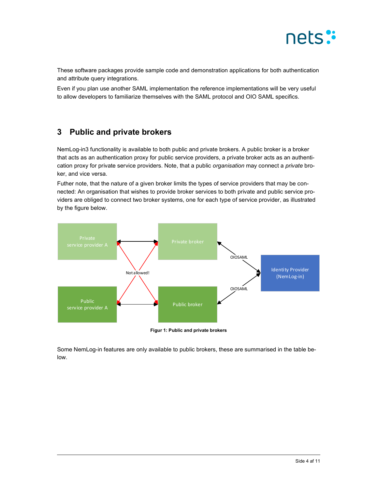

These software packages provide sample code and demonstration applications for both authentication and attribute query integrations.

Even if you plan use another SAML implementation the reference implementations will be very useful to allow developers to familiarize themselves with the SAML protocol and OIO SAML specifics.

## 3 Public and private brokers

NemLog-in3 functionality is available to both public and private brokers. A public broker is a broker that acts as an authentication proxy for public service providers, a private broker acts as an authentication proxy for private service providers. Note, that a public organisation may connect a private broker, and vice versa.

Futher note, that the nature of a given broker limits the types of service providers that may be connected: An organisation that wishes to provide broker services to both private and public service providers are obliged to connect two broker systems, one for each type of service provider, as illustrated by the figure below.



Some NemLog-in features are only available to public brokers, these are summarised in the table below.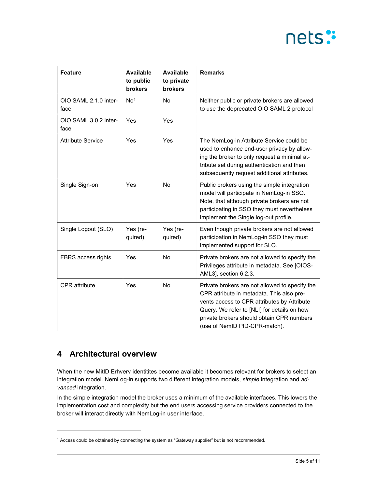# nets:

| <b>Feature</b>                | <b>Available</b><br>to public<br>brokers | <b>Available</b><br>to private<br>brokers | <b>Remarks</b>                                                                                                                                                                                                                                                          |
|-------------------------------|------------------------------------------|-------------------------------------------|-------------------------------------------------------------------------------------------------------------------------------------------------------------------------------------------------------------------------------------------------------------------------|
| OIO SAML 2.1.0 inter-<br>face | No <sup>1</sup>                          | No                                        | Neither public or private brokers are allowed<br>to use the deprecated OIO SAML 2 protocol                                                                                                                                                                              |
| OIO SAML 3.0.2 inter-<br>face | Yes                                      | Yes                                       |                                                                                                                                                                                                                                                                         |
| <b>Attribute Service</b>      | Yes                                      | Yes                                       | The NemLog-in Attribute Service could be<br>used to enhance end-user privacy by allow-<br>ing the broker to only request a minimal at-<br>tribute set during authentication and then<br>subsequently request additional attributes.                                     |
| Single Sign-on                | Yes                                      | <b>No</b>                                 | Public brokers using the simple integration<br>model will participate in NemLog-in SSO.<br>Note, that although private brokers are not<br>participating in SSO they must nevertheless<br>implement the Single log-out profile.                                          |
| Single Logout (SLO)           | Yes (re-<br>quired)                      | Yes (re-<br>quired)                       | Even though private brokers are not allowed<br>participation in NemLog-in SSO they must<br>implemented support for SLO.                                                                                                                                                 |
| FBRS access rights            | Yes                                      | No                                        | Private brokers are not allowed to specify the<br>Privileges attribute in metadata. See [OIOS-<br>AML3], section 6.2.3.                                                                                                                                                 |
| <b>CPR</b> attribute          | Yes                                      | <b>No</b>                                 | Private brokers are not allowed to specify the<br>CPR attribute in metadata. This also pre-<br>vents access to CPR attributes by Attribute<br>Query. We refer to [NLI] for details on how<br>private brokers should obtain CPR numbers<br>(use of NemID PID-CPR-match). |

# 4 Architectural overview

When the new MitID Erhverv identitites become available it becomes relevant for brokers to select an integration model. NemLog-in supports two different integration models, simple integration and advanced integration.

In the simple integration model the broker uses a minimum of the available interfaces. This lowers the implementation cost and complexity but the end users accessing service providers connected to the broker will interact directly with NemLog-in user interface.

<sup>1</sup> Access could be obtained by connecting the system as "Gateway supplier" but is not recommended.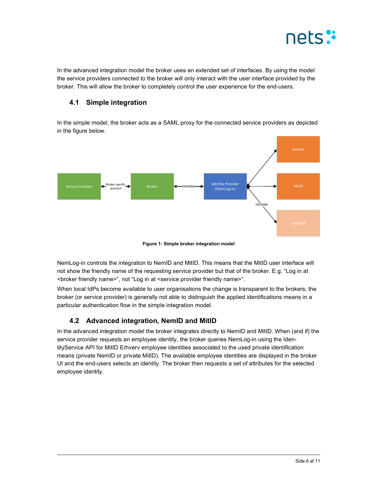

In the advanced integration model the broker uses an extended set of interfaces. By using the model the service providers connected to the broker will only interact with the user interface provided by the broker. This will allow the broker to completely control the user experience for the end-users.

### 4.1 Simple integration

In the simple model, the broker acts as a SAML proxy for the connected service providers as depicted in the figure below.



Figure 1: Simple broker integration model

NemLog-in controls the integration to NemID and MitID. This means that the MitID user interface will not show the friendly name of the requesting service provider but that of the broker. E.g. "Log in at <broker friendly name>", not "Log in at <service provider friendly name>".

When local IdPs become available to user organisations the change is transparent to the brokers; the broker (or service provider) is generally not able to distinguish the applied identifications means in a particular authentication flow in the simple integration model.

## 4.2 Advanced integration, NemID and MitID

In the advanced integration model the broker integrates directly to NemID and MitID. When (and if) the service provider requests an employee identity, the broker queries NemLog-in using the IdentityService API for MitID Erhverv employee identities associated to the used private identification means (private NemID or private MitID). The available employee identities are displayed in the broker UI and the end-users selects an identity. The broker then requests a set of attributes for the selected employee identity.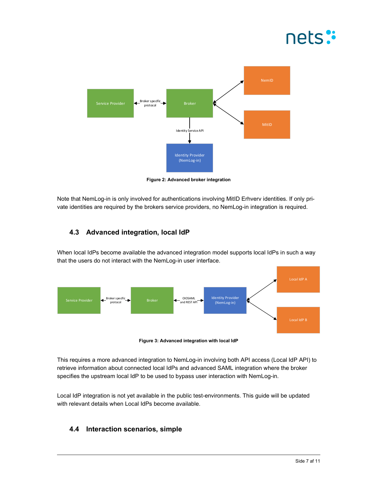



Figure 2: Advanced broker integration

Note that NemLog-in is only involved for authentications involving MitID Erhverv identities. If only private identities are required by the brokers service providers, no NemLog-in integration is required.

## 4.3 Advanced integration, local IdP

When local IdPs become available the advanced integration model supports local IdPs in such a way that the users do not interact with the NemLog-in user interface.



Figure 3: Advanced integration with local IdP

This requires a more advanced integration to NemLog-in involving both API access (Local IdP API) to retrieve information about connected local IdPs and advanced SAML integration where the broker specifies the upstream local IdP to be used to bypass user interaction with NemLog-in.

Local IdP integration is not yet available in the public test-environments. This guide will be updated with relevant details when Local IdPs become available.

### 4.4 Interaction scenarios, simple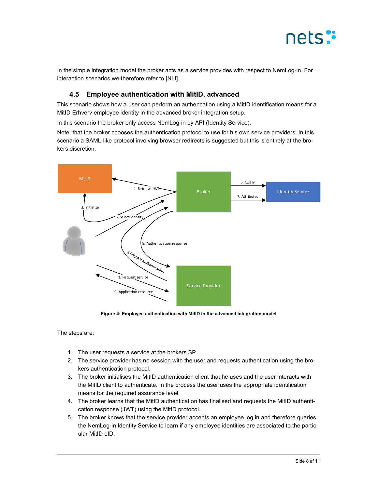

In the simple integration model the broker acts as a service provides with respect to NemLog-in. For interaction scenarios we therefore refer to [NLI].

#### 4.5 Employee authentication with MitID, advanced

This scenario shows how a user can perform an authencation using a MitID identification means for a MitID Erhverv employee identity in the advanced broker integration setup.

In this scenario the broker only access NemLog-in by API (Identity Service).

Note, that the broker chooses the authentication protocol to use for his own service providers. In this scenario a SAML-like protocol involving browser redirects is suggested but this is entirely at the brokers discretion.



Figure 4: Employee authentication with MitID in the advanced integration model

The steps are:

- 1. The user requests a service at the brokers SP
- 2. The service provider has no session with the user and requests authentication using the brokers authentication protocol.
- 3. The broker initialises the MitID authentication client that he uses and the user interacts with the MitID client to authenticate. In the process the user uses the appropriate identification means for the required assurance level.
- 4. The broker learns that the MitID authentication has finalised and requests the MitID authentication response (JWT) using the MitID protocol.
- 5. The broker knows that the service provider accepts an employee log in and therefore queries the NemLog-in Identity Service to learn if any employee identities are associated to the particular MitID eID.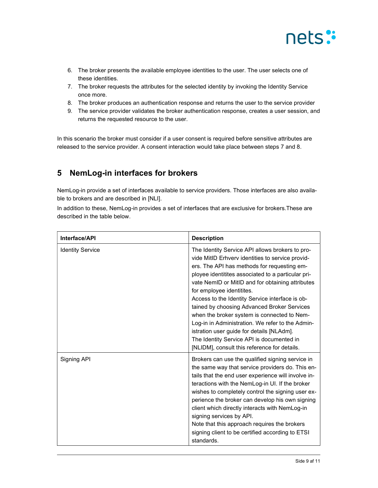

- 6. The broker presents the available employee identities to the user. The user selects one of these identities.
- 7. The broker requests the attributes for the selected identity by invoking the Identity Service once more.
- 8. The broker produces an authentication response and returns the user to the service provider
- 9. The service provider validates the broker authentication response, creates a user session, and returns the requested resource to the user.

In this scenario the broker must consider if a user consent is required before sensitive attributes are released to the service provider. A consent interaction would take place between steps 7 and 8.

## 5 NemLog-in interfaces for brokers

NemLog-in provide a set of interfaces available to service providers. Those interfaces are also available to brokers and are described in [NLI].

In addition to these, NemLog-in provides a set of interfaces that are exclusive for brokers.These are described in the table below.

| Interface/API           | <b>Description</b>                                                                                                                                                                                                                                                                                                                                                                                                                                                                                                                                                                                                                       |
|-------------------------|------------------------------------------------------------------------------------------------------------------------------------------------------------------------------------------------------------------------------------------------------------------------------------------------------------------------------------------------------------------------------------------------------------------------------------------------------------------------------------------------------------------------------------------------------------------------------------------------------------------------------------------|
| <b>Identity Service</b> | The Identity Service API allows brokers to pro-<br>vide MitID Erhvery identities to service provid-<br>ers. The API has methods for requesting em-<br>ployee identitites associated to a particular pri-<br>vate NemID or MitID and for obtaining attributes<br>for employee identitites.<br>Access to the Identity Service interface is ob-<br>tained by choosing Advanced Broker Services<br>when the broker system is connected to Nem-<br>Log-in in Administration. We refer to the Admin-<br>istration user guide for details [NLAdm].<br>The Identity Service API is documented in<br>[NLIDM], consult this reference for details. |
| Signing API             | Brokers can use the qualified signing service in<br>the same way that service providers do. This en-<br>tails that the end user experience will involve in-<br>teractions with the NemLog-in UI. If the broker<br>wishes to completely control the signing user ex-<br>perience the broker can develop his own signing<br>client which directly interacts with NemLog-in<br>signing services by API.<br>Note that this approach requires the brokers<br>signing client to be certified according to ETSI<br>standards.                                                                                                                   |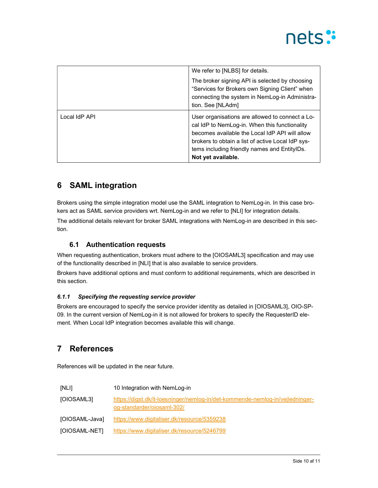

|               | We refer to [NLBS] for details.<br>The broker signing API is selected by choosing<br>"Services for Brokers own Signing Client" when<br>connecting the system in NemLog-in Administra-<br>tion. See [NLAdm]                                                                    |
|---------------|-------------------------------------------------------------------------------------------------------------------------------------------------------------------------------------------------------------------------------------------------------------------------------|
| Local IdP API | User organisations are allowed to connect a Lo-<br>cal IdP to NemLog-in. When this functionality<br>becomes available the Local IdP API will allow<br>brokers to obtain a list of active Local IdP sys-<br>tems including friendly names and EntityIDs.<br>Not yet available. |

## 6 SAML integration

Brokers using the simple integration model use the SAML integration to NemLog-in. In this case brokers act as SAML service providers wrt. NemLog-in and we refer to [NLI] for integration details.

The additional details relevant for broker SAML integrations with NemLog-in are described in this section.

### 6.1 Authentication requests

When requesting authentication, brokers must adhere to the [OIOSAML3] specification and may use of the functionality described in [NLI] that is also available to service providers.

Brokers have additional options and must conform to additional requirements, which are described in this section.

#### 6.1.1 Specifying the requesting service provider

Brokers are encouraged to specify the service provider identity as detailed in [OIOSAML3], OIO-SP-09. In the current version of NemLog-in it is not allowed for brokers to specify the RequesterID element. When Local IdP integration becomes available this will change.

# 7 References

References will be updated in the near future.

| [NLI]          | 10 Integration with NemLog-in                                                                               |
|----------------|-------------------------------------------------------------------------------------------------------------|
| [OIOSAML3]     | https://digst.dk/it-loesninger/nemlog-in/det-kommende-nemlog-in/vejledninger-<br>og-standarder/oiosaml-302/ |
| [OIOSAML-Java] | https://www.digitaliser.dk/resource/5359238                                                                 |
| [OIOSAML-NET]  | https://www.digitaliser.dk/resource/5246799                                                                 |